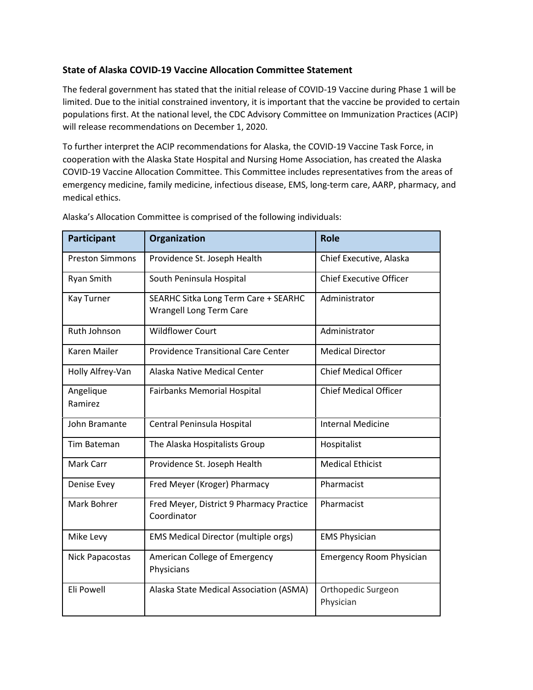## **State of Alaska COVID-19 Vaccine Allocation Committee Statement**

The federal government has stated that the initial release of COVID-19 Vaccine during Phase 1 will be limited. Due to the initial constrained inventory, it is important that the vaccine be provided to certain populations first. At the national level, the CDC Advisory Committee on Immunization Practices (ACIP) will release recommendations on December 1, 2020.

To further interpret the ACIP recommendations for Alaska, the COVID-19 Vaccine Task Force, in cooperation with the Alaska State Hospital and Nursing Home Association, has created the Alaska COVID-19 Vaccine Allocation Committee. This Committee includes representatives from the areas of emergency medicine, family medicine, infectious disease, EMS, long-term care, AARP, pharmacy, and medical ethics.

| <b>Participant</b>     | Organization                                                    | <b>Role</b>                     |
|------------------------|-----------------------------------------------------------------|---------------------------------|
| <b>Preston Simmons</b> | Providence St. Joseph Health                                    | Chief Executive, Alaska         |
| Ryan Smith             | South Peninsula Hospital                                        | <b>Chief Executive Officer</b>  |
| <b>Kay Turner</b>      | SEARHC Sitka Long Term Care + SEARHC<br>Wrangell Long Term Care | Administrator                   |
| Ruth Johnson           | <b>Wildflower Court</b>                                         | Administrator                   |
| <b>Karen Mailer</b>    | <b>Providence Transitional Care Center</b>                      | <b>Medical Director</b>         |
| Holly Alfrey-Van       | Alaska Native Medical Center                                    | <b>Chief Medical Officer</b>    |
| Angelique<br>Ramirez   | <b>Fairbanks Memorial Hospital</b>                              | <b>Chief Medical Officer</b>    |
| John Bramante          | Central Peninsula Hospital                                      | <b>Internal Medicine</b>        |
| <b>Tim Bateman</b>     | The Alaska Hospitalists Group                                   | Hospitalist                     |
| Mark Carr              | Providence St. Joseph Health                                    | <b>Medical Ethicist</b>         |
| Denise Evey            | Fred Meyer (Kroger) Pharmacy                                    | Pharmacist                      |
| Mark Bohrer            | Fred Meyer, District 9 Pharmacy Practice<br>Coordinator         | Pharmacist                      |
| Mike Levy              | <b>EMS Medical Director (multiple orgs)</b>                     | <b>EMS Physician</b>            |
| Nick Papacostas        | American College of Emergency<br>Physicians                     | <b>Emergency Room Physician</b> |
| Eli Powell             | Alaska State Medical Association (ASMA)                         | Orthopedic Surgeon<br>Physician |

Alaska's Allocation Committee is comprised of the following individuals: